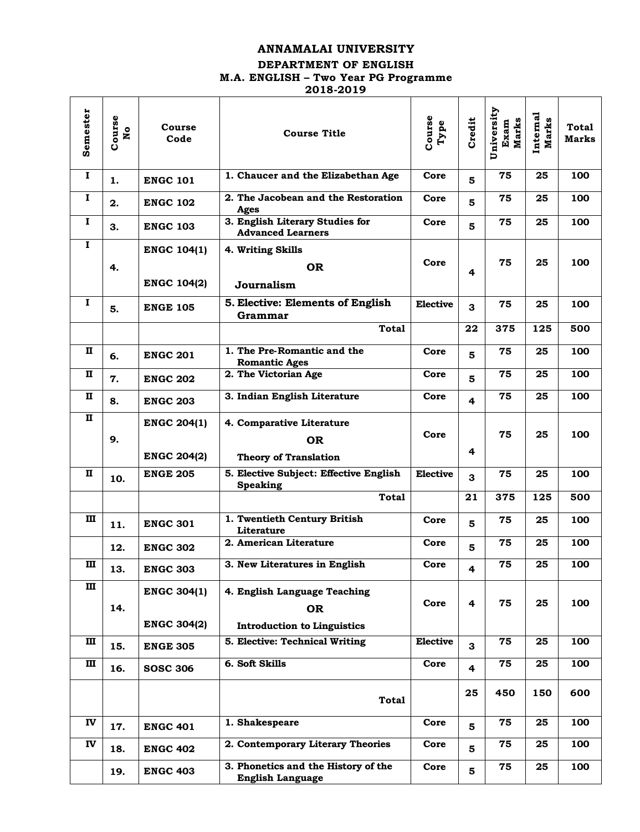# **ANNAMALAI UNIVERSITY**

#### **DEPARTMENT OF ENGLISH**

# **M.A. ENGLISH – Two Year PG Programme**

 $\mathcal{L} = \mathcal{L}$ 

**2018-2019**

| Semester     | Course<br><b>No</b> | Course<br>Code     | <b>Course Title</b>                                            | Course<br>Type  | Credit                  | University<br><b>Marks</b><br>Exam | Internal<br><b>Marks</b> | <b>Total</b><br><b>Marks</b> |
|--------------|---------------------|--------------------|----------------------------------------------------------------|-----------------|-------------------------|------------------------------------|--------------------------|------------------------------|
| $\bf{I}$     | 1.                  | <b>ENGC 101</b>    | 1. Chaucer and the Elizabethan Age                             | Core            | 5                       | 75                                 | 25                       | 100                          |
| $\bf{I}$     | 2.                  | <b>ENGC 102</b>    | 2. The Jacobean and the Restoration<br>Ages                    | Core            | 5                       | 75                                 | 25                       | 100                          |
| Ι.           | 3.                  | <b>ENGC 103</b>    | 3. English Literary Studies for<br><b>Advanced Learners</b>    | Core            | 5                       | 75                                 | 25                       | 100                          |
| $\mathbf{I}$ |                     | <b>ENGC 104(1)</b> | 4. Writing Skills                                              |                 |                         |                                    |                          |                              |
|              | 4.                  |                    | <b>OR</b>                                                      | Core            | 4                       | 75                                 | 25                       | 100                          |
|              |                     | <b>ENGC 104(2)</b> | Journalism                                                     |                 |                         |                                    |                          |                              |
| Ι.           | 5.                  | <b>ENGE 105</b>    | 5. Elective: Elements of English<br>Grammar                    | <b>Elective</b> | 3                       | 75                                 | 25                       | 100                          |
|              |                     |                    | <b>Total</b>                                                   |                 | 22                      | 375                                | 125                      | 500                          |
| п            | 6.                  | <b>ENGC 201</b>    | 1. The Pre-Romantic and the<br><b>Romantic Ages</b>            | Core            | 5                       | 75                                 | 25                       | 100                          |
| п            | 7.                  | <b>ENGC 202</b>    | 2. The Victorian Age                                           | Core            | 5                       | 75                                 | 25                       | 100                          |
| п            | 8.                  | <b>ENGC 203</b>    | 3. Indian English Literature                                   | Core            | $\overline{4}$          | 75                                 | 25                       | 100                          |
| п            |                     | <b>ENGC 204(1)</b> | 4. Comparative Literature                                      |                 |                         |                                    |                          |                              |
|              | 9.                  |                    | <b>OR</b>                                                      | Core            |                         | 75                                 | 25                       | 100                          |
|              |                     | <b>ENGC 204(2)</b> | <b>Theory of Translation</b>                                   |                 | 4                       |                                    |                          |                              |
| п            | 10.                 | <b>ENGE 205</b>    | 5. Elective Subject: Effective English<br><b>Speaking</b>      | <b>Elective</b> | 3                       | 75                                 | 25                       | 100                          |
|              |                     |                    | <b>Total</b>                                                   |                 | 21                      | 375                                | 125                      | 500                          |
| Ш            | 11.                 | <b>ENGC 301</b>    | 1. Twentieth Century British<br>Literature                     | Core            | 5                       | 75                                 | 25                       | 100                          |
|              | 12.                 | <b>ENGC 302</b>    | 2. American Literature                                         | Core            | 5                       | 75                                 | 25                       | 100                          |
| ш            | 13.                 | <b>ENGC 303</b>    | 3. New Literatures in English                                  | Core            | 4                       | 75                                 | 25                       | 100                          |
| Ш            |                     | <b>ENGC 304(1)</b> | 4. English Language Teaching                                   |                 |                         |                                    |                          |                              |
|              | 14.                 |                    | <b>OR</b>                                                      | Core            | 4                       | 75                                 | 25                       | 100                          |
|              |                     | <b>ENGC 304(2)</b> | <b>Introduction to Linguistics</b>                             |                 |                         |                                    |                          |                              |
| Ш            | 15.                 | <b>ENGE 305</b>    | 5. Elective: Technical Writing                                 | <b>Elective</b> | 3                       | 75                                 | 25                       | 100                          |
| Ш            | 16.                 | <b>SOSC 306</b>    | 6. Soft Skills                                                 | Core            | 4                       | 75                                 | 25                       | 100                          |
|              |                     |                    | <b>Total</b>                                                   |                 | 25                      | 450                                | 150                      | 600                          |
| IV           | 17.                 | <b>ENGC 401</b>    | 1. Shakespeare                                                 | Core            | 5                       | 75                                 | 25                       | 100                          |
| IV           | 18.                 | <b>ENGC 402</b>    | 2. Contemporary Literary Theories                              | Core            | 5                       | 75                                 | 25                       | 100                          |
|              | 19.                 | <b>ENGC 403</b>    | 3. Phonetics and the History of the<br><b>English Language</b> | Core            | $\overline{\mathbf{5}}$ | 75                                 | 25                       | 100                          |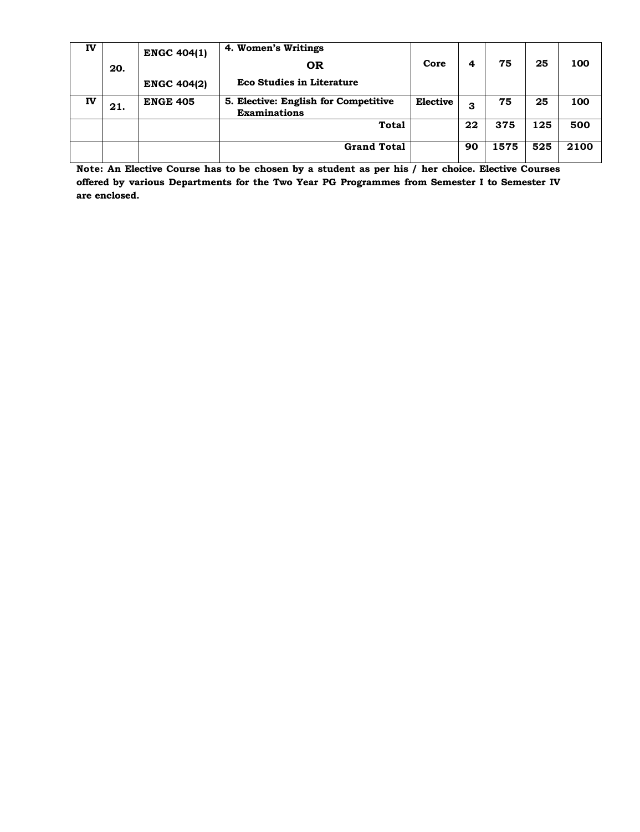| IV |     | <b>ENGC 404(1)</b> | 4. Women's Writings                                         |                 |    |      |     |      |
|----|-----|--------------------|-------------------------------------------------------------|-----------------|----|------|-----|------|
|    | 20. |                    | <b>OR</b>                                                   | Core            | 4  | 75   | 25  | 100  |
|    |     | <b>ENGC 404(2)</b> | <b>Eco Studies in Literature</b>                            |                 |    |      |     |      |
| IV | 21. | <b>ENGE 405</b>    | 5. Elective: English for Competitive<br><b>Examinations</b> | <b>Elective</b> | З  | 75   | 25  | 100  |
|    |     |                    | Total                                                       |                 | 22 | 375  | 125 | 500  |
|    |     |                    | <b>Grand Total</b>                                          |                 | 90 | 1575 | 525 | 2100 |

**Note: An Elective Course has to be chosen by a student as per his / her choice. Elective Courses offered by various Departments for the Two Year PG Programmes from Semester I to Semester IV are enclosed.**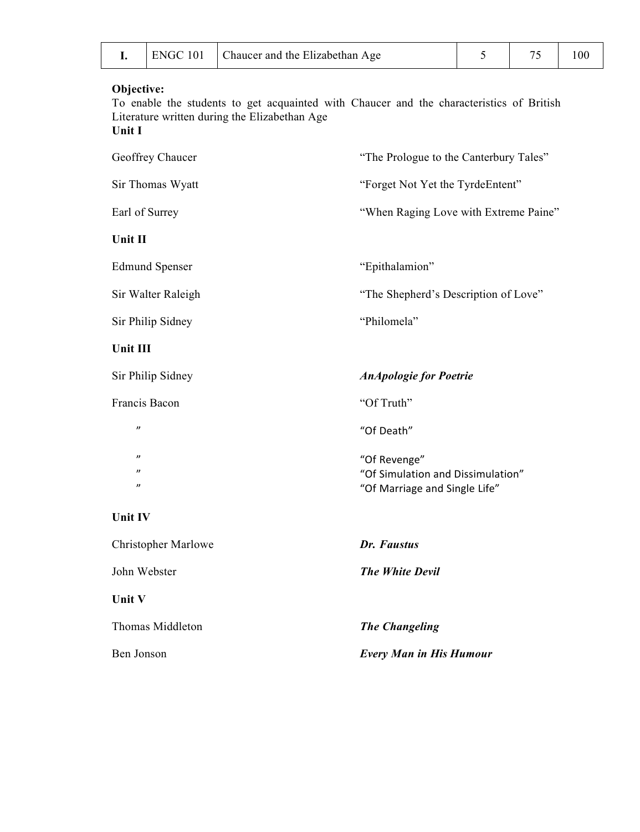|  | 10 <sup>i</sup><br>ENGC | Chaucer and the Elizabethan Age |  |  |  |
|--|-------------------------|---------------------------------|--|--|--|
|--|-------------------------|---------------------------------|--|--|--|

To enable the students to get acquainted with Chaucer and the characteristics of British Literature written during the Elizabethan Age **Unit I**

| Geoffrey Chaucer                       | "The Prologue to the Canterbury Tales"                             |
|----------------------------------------|--------------------------------------------------------------------|
| Sir Thomas Wyatt                       | "Forget Not Yet the TyrdeEntent"                                   |
| Earl of Surrey                         | "When Raging Love with Extreme Paine"                              |
| Unit II                                |                                                                    |
| <b>Edmund Spenser</b>                  | "Epithalamion"                                                     |
| Sir Walter Raleigh                     | "The Shepherd's Description of Love"                               |
| Sir Philip Sidney                      | "Philomela"                                                        |
| Unit III                               |                                                                    |
| Sir Philip Sidney                      | <b>AnApologie</b> for Poetrie                                      |
| Francis Bacon                          | "Of Truth"                                                         |
| $^{\prime\prime}$                      | "Of Death"                                                         |
| $^{\prime\prime}$<br>$^{\prime\prime}$ | "Of Revenge"                                                       |
| $\boldsymbol{\eta}$                    | "Of Simulation and Dissimulation"<br>"Of Marriage and Single Life" |
| Unit IV                                |                                                                    |
| <b>Christopher Marlowe</b>             | Dr. Faustus                                                        |
| John Webster                           | <b>The White Devil</b>                                             |
| Unit V                                 |                                                                    |
| Thomas Middleton                       | <b>The Changeling</b>                                              |
| Ben Jonson                             | <b>Every Man in His Humour</b>                                     |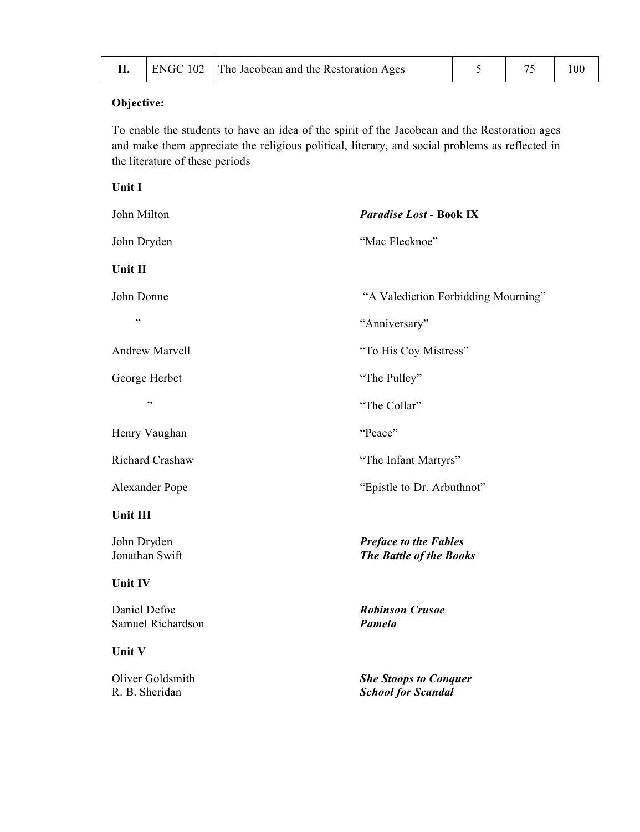|  |  | ENGC 102 The Jacobean and the Restoration Ages |  |  |  |
|--|--|------------------------------------------------|--|--|--|
|--|--|------------------------------------------------|--|--|--|

To enable the students to have an idea of the spirit of the Jacobean and the Restoration ages and make them appreciate the religious political, literary, and social problems as reflected in the literature of these periods

| Unit I                             |                                                           |
|------------------------------------|-----------------------------------------------------------|
| John Milton                        | <b>Paradise Lost - Book IX</b>                            |
| John Dryden                        | "Mac Flecknoe"                                            |
| Unit II                            |                                                           |
| John Donne                         | "A Valediction Forbidding Mourning"                       |
| ,,                                 | "Anniversary"                                             |
| Andrew Marvell                     | "To His Coy Mistress"                                     |
| George Herbet                      | "The Pulley"                                              |
| ,,                                 | "The Collar"                                              |
| Henry Vaughan                      | "Peace"                                                   |
| Richard Crashaw                    | "The Infant Martyrs"                                      |
| Alexander Pope                     | "Epistle to Dr. Arbuthnot"                                |
| Unit III                           |                                                           |
| John Dryden<br>Jonathan Swift      | <b>Preface to the Fables</b><br>The Battle of the Books   |
| Unit IV                            |                                                           |
| Daniel Defoe<br>Samuel Richardson  | <b>Robinson Crusoe</b><br>Pamela                          |
| Unit V                             |                                                           |
| Oliver Goldsmith<br>R. B. Sheridan | <b>She Stoops to Conquer</b><br><b>School for Scandal</b> |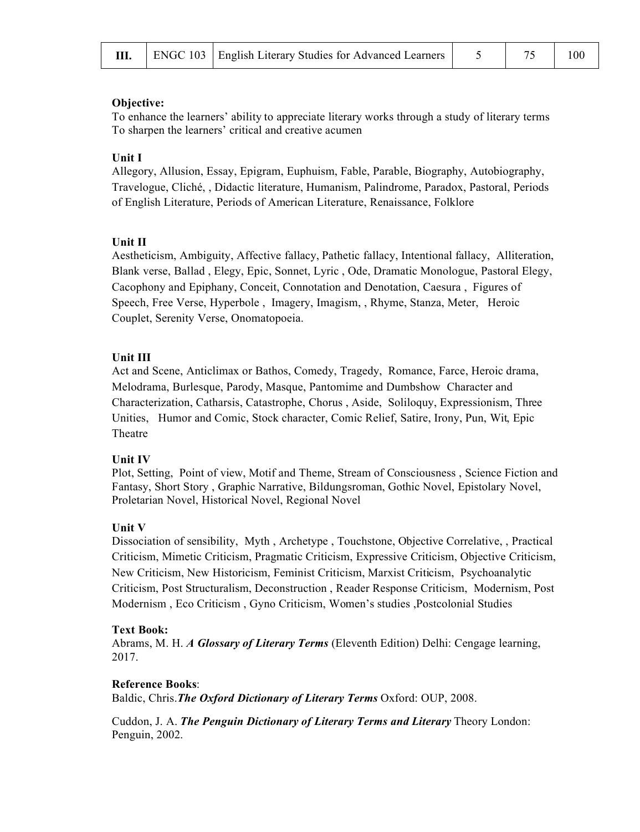To enhance the learners' ability to appreciate literary works through a study of literary terms To sharpen the learners' critical and creative acumen

#### **Unit I**

Allegory, Allusion, Essay, Epigram, Euphuism, Fable, Parable, Biography, Autobiography, Travelogue, Cliché, , Didactic literature, Humanism, Palindrome, Paradox, Pastoral, Periods of English Literature, Periods of American Literature, Renaissance, Folklore

#### **Unit II**

Aestheticism, Ambiguity, Affective fallacy, Pathetic fallacy, Intentional fallacy, Alliteration, Blank verse, Ballad , Elegy, Epic, Sonnet, Lyric , Ode, Dramatic Monologue, Pastoral Elegy, Cacophony and Epiphany, Conceit, Connotation and Denotation, Caesura , Figures of Speech, Free Verse, Hyperbole , Imagery, Imagism, , Rhyme, Stanza, Meter, Heroic Couplet, Serenity Verse, Onomatopoeia.

#### **Unit III**

Act and Scene, Anticlimax or Bathos, Comedy, Tragedy, Romance, Farce, Heroic drama, Melodrama, Burlesque, Parody, Masque, Pantomime and Dumbshow Character and Characterization, Catharsis, Catastrophe, Chorus , Aside, Soliloquy, Expressionism, Three Unities, Humor and Comic, Stock character, Comic Relief, Satire, Irony, Pun, Wit, Epic Theatre

#### **Unit IV**

Plot, Setting, Point of view, Motif and Theme, Stream of Consciousness , Science Fiction and Fantasy, Short Story , Graphic Narrative, Bildungsroman, Gothic Novel, Epistolary Novel, Proletarian Novel, Historical Novel, Regional Novel

### **Unit V**

Dissociation of sensibility, Myth , Archetype , Touchstone, Objective Correlative, , Practical Criticism, Mimetic Criticism, Pragmatic Criticism, Expressive Criticism, Objective Criticism, New Criticism, New Historicism, Feminist Criticism, Marxist Criticism, Psychoanalytic Criticism, Post Structuralism, Deconstruction , Reader Response Criticism, Modernism, Post Modernism , Eco Criticism , Gyno Criticism, Women's studies ,Postcolonial Studies

#### **Text Book:**

Abrams, M. H. *A Glossary of Literary Terms* (Eleventh Edition) Delhi: Cengage learning, 2017.

#### **Reference Books**:

Baldic, Chris.*The Oxford Dictionary of Literary Terms* Oxford: OUP, 2008.

Cuddon, J. A. *The Penguin Dictionary of Literary Terms and Literary* Theory London: Penguin, 2002.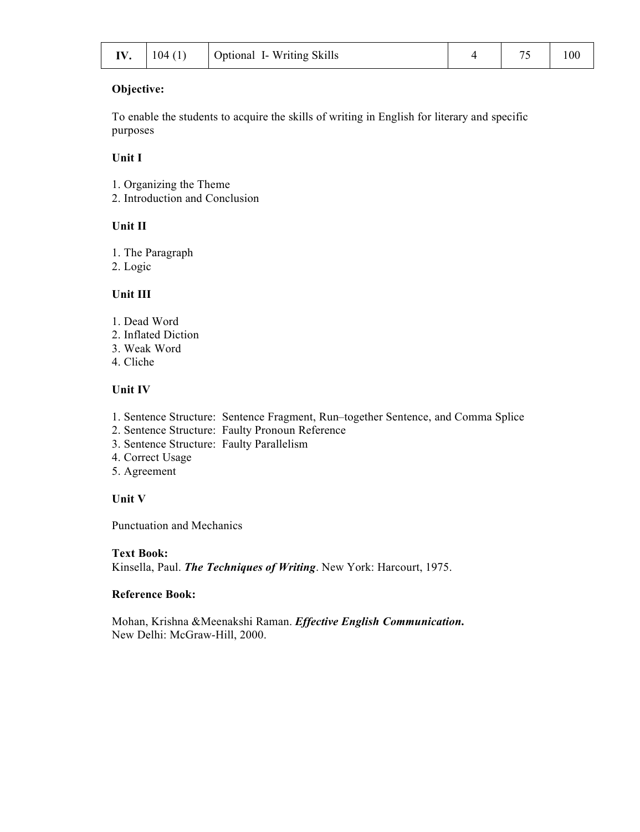To enable the students to acquire the skills of writing in English for literary and specific purposes

#### **Unit I**

- 1. Organizing the Theme
- 2. Introduction and Conclusion

### **Unit II**

- 1. The Paragraph
- 2. Logic

### **Unit III**

- 1. Dead Word
- 2. Inflated Diction
- 3. Weak Word
- 4. Cliche

### **Unit IV**

- 1. Sentence Structure: Sentence Fragment, Run–together Sentence, and Comma Splice
- 2. Sentence Structure: Faulty Pronoun Reference
- 3. Sentence Structure: Faulty Parallelism
- 4. Correct Usage
- 5. Agreement

### **Unit V**

Punctuation and Mechanics

#### **Text Book:**

Kinsella, Paul. *The Techniques of Writing*. New York: Harcourt, 1975.

#### **Reference Book:**

Mohan, Krishna &Meenakshi Raman. *Effective English Communication***.** New Delhi: McGraw-Hill, 2000.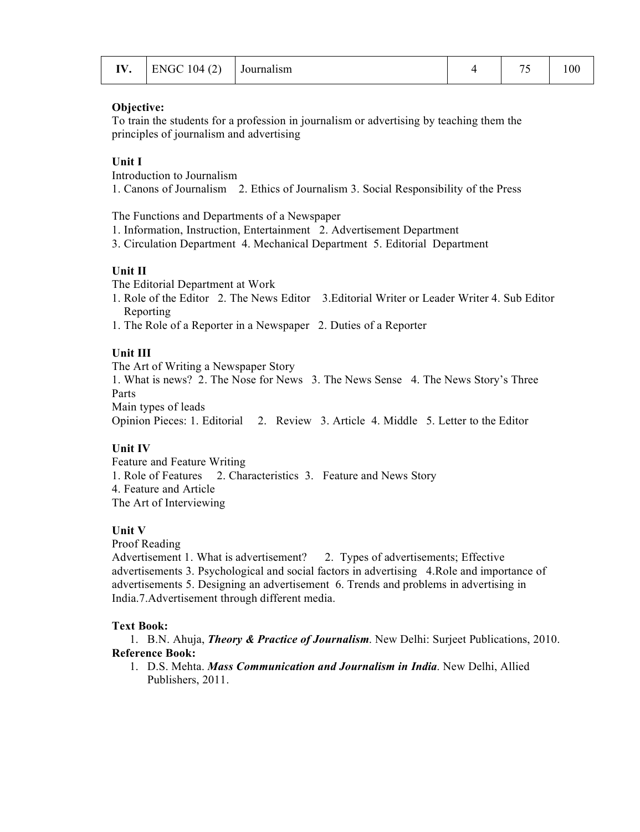| IV. | $ENGC 104 (2)$ Journalism |  |  | $\overline{\phantom{a}}$ | 100 |
|-----|---------------------------|--|--|--------------------------|-----|
|-----|---------------------------|--|--|--------------------------|-----|

To train the students for a profession in journalism or advertising by teaching them the principles of journalism and advertising

### **Unit I**

Introduction to Journalism

1. Canons of Journalism 2. Ethics of Journalism 3. Social Responsibility of the Press

The Functions and Departments of a Newspaper

- 1. Information, Instruction, Entertainment 2. Advertisement Department
- 3. Circulation Department 4. Mechanical Department 5. Editorial Department

#### **Unit II**

The Editorial Department at Work

- 1. Role of the Editor 2. The News Editor 3.Editorial Writer or Leader Writer 4. Sub Editor Reporting
- 1. The Role of a Reporter in a Newspaper 2. Duties of a Reporter

#### **Unit III**

The Art of Writing a Newspaper Story

1. What is news? 2. The Nose for News 3. The News Sense 4. The News Story's Three Parts

Main types of leads

Opinion Pieces: 1. Editorial 2. Review 3. Article 4. Middle 5. Letter to the Editor

### **Unit IV**

Feature and Feature Writing 1. Role of Features 2. Characteristics 3. Feature and News Story 4. Feature and Article The Art of Interviewing

#### **Unit V**

Proof Reading

Advertisement 1. What is advertisement? 2. Types of advertisements; Effective advertisements 3. Psychological and social factors in advertising 4.Role and importance of advertisements 5. Designing an advertisement 6. Trends and problems in advertising in India.7.Advertisement through different media.

#### **Text Book:**

1. B.N. Ahuja, *Theory & Practice of Journalism*. New Delhi: Surjeet Publications, 2010. **Reference Book:**

1. D.S. Mehta. *Mass Communication and Journalism in India*. New Delhi, Allied Publishers, 2011.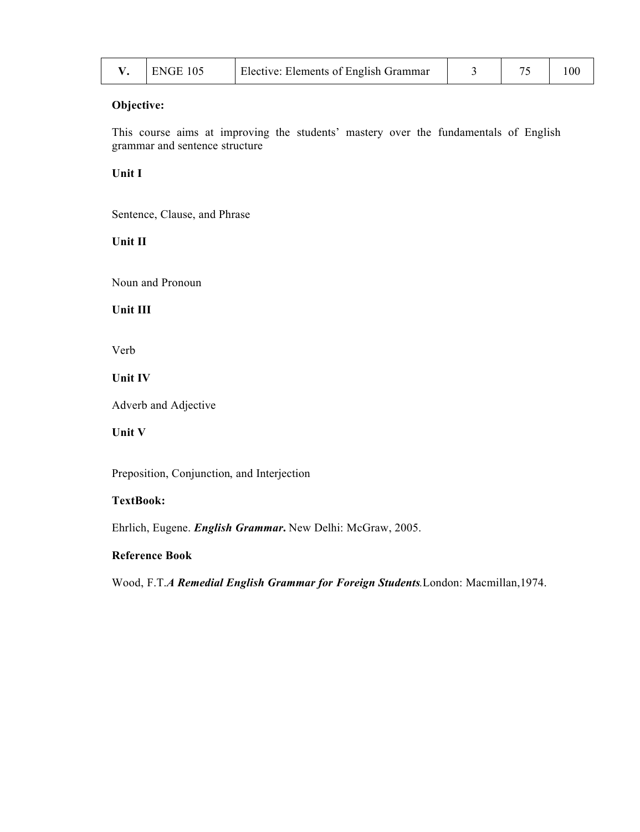| ENGE 105 | Elective: Elements of English Grammar |  |  |
|----------|---------------------------------------|--|--|
|          |                                       |  |  |

This course aims at improving the students' mastery over the fundamentals of English grammar and sentence structure

## **Unit I**

Sentence, Clause, and Phrase

# **Unit II**

Noun and Pronoun

# **Unit III**

Verb

### **Unit IV**

Adverb and Adjective

# **Unit V**

Preposition, Conjunction, and Interjection

# **TextBook:**

Ehrlich, Eugene. *English Grammar***.** New Delhi: McGraw, 2005.

#### **Reference Book**

Wood, F.T.*A Remedial English Grammar for Foreign Students.*London: Macmillan,1974.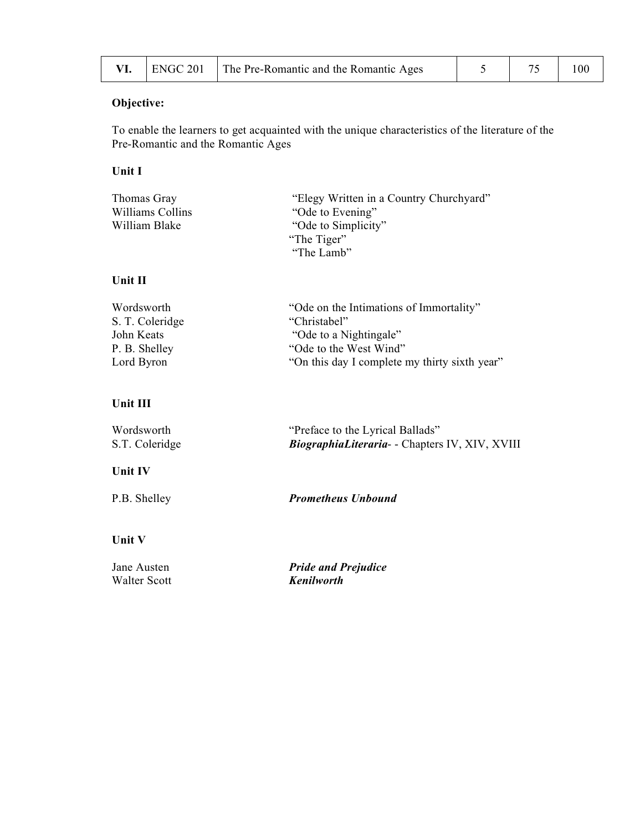|  |  | $\Box$ ENGC 201   The Pre-Romantic and the Romantic Ages |  |  | 100 |
|--|--|----------------------------------------------------------|--|--|-----|
|--|--|----------------------------------------------------------|--|--|-----|

To enable the learners to get acquainted with the unique characteristics of the literature of the Pre-Romantic and the Romantic Ages

# **Unit I**

| Thomas Gray      | "Elegy Written in a Country Churchyard" |
|------------------|-----------------------------------------|
| Williams Collins | "Ode to Evening"                        |
| William Blake    | "Ode to Simplicity"                     |
|                  | "The Tiger"                             |
|                  | "The Lamb"                              |

### **Unit II**

| Wordsworth      | "Ode on the Intimations of Immortality"       |
|-----------------|-----------------------------------------------|
| S. T. Coleridge | "Christabel"                                  |
| John Keats      | "Ode to a Nightingale"                        |
| P. B. Shelley   | "Ode to the West Wind"                        |
| Lord Byron      | "On this day I complete my thirty sixth year" |

# **Unit III**

| Wordsworth     | "Preface to the Lyrical Ballads"               |
|----------------|------------------------------------------------|
| S.T. Coleridge | BiographiaLiteraria- - Chapters IV, XIV, XVIII |

# **Unit IV**

P.B. Shelley *Prometheus Unbound*

#### **Unit V**

Walter Scott

Jane Austen *Pride and Prejudice*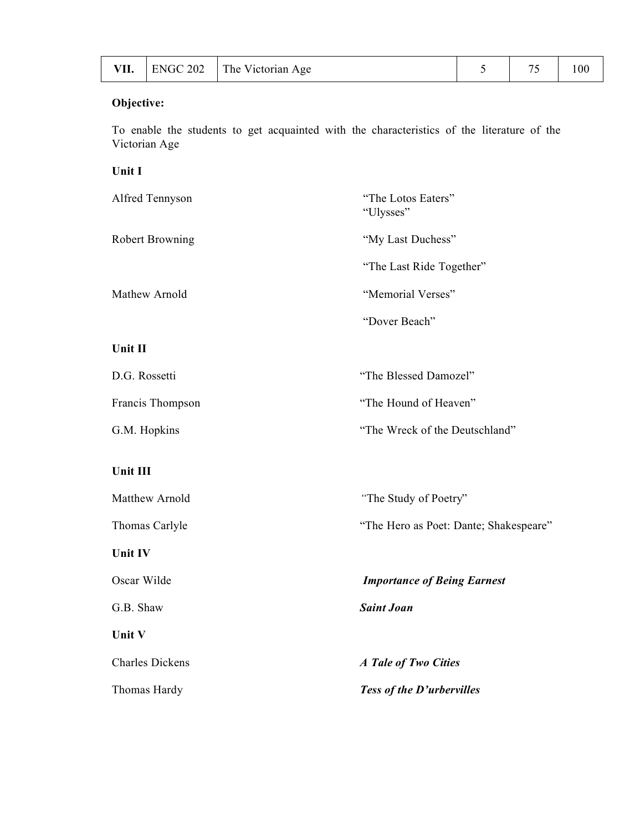|  |  | VII. $ $ ENGC 202 $ $ The Victorian Age |  | 75 | 100 |
|--|--|-----------------------------------------|--|----|-----|
|--|--|-----------------------------------------|--|----|-----|

To enable the students to get acquainted with the characteristics of the literature of the Victorian Age

### **Unit I**

| Alfred Tennyson        | "The Lotos Eaters"<br>"Ulysses" |
|------------------------|---------------------------------|
| <b>Robert Browning</b> | "My Last Duchess"               |
|                        | "The Last Ride Together"        |
| Mathew Arnold          | "Memorial Verses"               |
|                        | "Dover Beach"                   |
| Unit II                |                                 |
| D.G. Rossetti          | "The Blessed Damozel"           |
| Francis Thompson       | "The Hound of Heaven"           |
| G.M. Hopkins           | "The Wreck of the Deutschland"  |

# **Unit III**

| <b>Unit V</b>  |                                        |
|----------------|----------------------------------------|
| G.B. Shaw      | <b>Saint Joan</b>                      |
| Oscar Wilde    | <b>Importance of Being Earnest</b>     |
| <b>Unit IV</b> |                                        |
| Thomas Carlyle | "The Hero as Poet: Dante; Shakespeare" |
| Matthew Arnold | "The Study of Poetry"                  |
|                |                                        |

Charles Dickens *A Tale of Two Cities* Thomas Hardy *Tess of the D'urbervilles*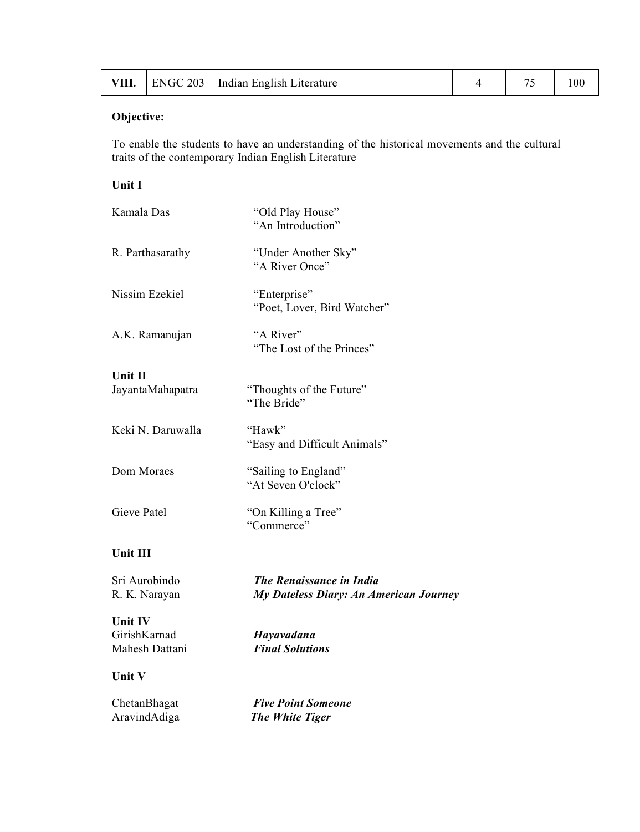| VIII. |  | ENGC 203   Indian English Literature |  | $\sim$ | 100 |
|-------|--|--------------------------------------|--|--------|-----|
|-------|--|--------------------------------------|--|--------|-----|

To enable the students to have an understanding of the historical movements and the cultural traits of the contemporary Indian English Literature

# **Unit I**

| Kamala Das                                | "Old Play House"<br>"An Introduction"                                     |
|-------------------------------------------|---------------------------------------------------------------------------|
| R. Parthasarathy                          | "Under Another Sky"<br>"A River Once"                                     |
| Nissim Ezekiel                            | "Enterprise"<br>"Poet, Lover, Bird Watcher"                               |
| A.K. Ramanujan                            | "A River"<br>"The Lost of the Princes"                                    |
| Unit II                                   |                                                                           |
| JayantaMahapatra                          | "Thoughts of the Future"<br>"The Bride"                                   |
| Keki N. Daruwalla                         | "Hawk"<br>"Easy and Difficult Animals"                                    |
| Dom Moraes                                | "Sailing to England"<br>"At Seven O'clock"                                |
| Gieve Patel                               | "On Killing a Tree"<br>"Commerce"                                         |
| Unit III                                  |                                                                           |
| Sri Aurobindo<br>R. K. Narayan            | <b>The Renaissance in India</b><br>My Dateless Diary: An American Journey |
| Unit IV<br>GirishKarnad<br>Mahesh Dattani | Hayavadana<br><b>Final Solutions</b>                                      |
| Unit V                                    |                                                                           |
| ChetanBhagat<br>AravindAdiga              | <b>Five Point Someone</b><br>The White Tiger                              |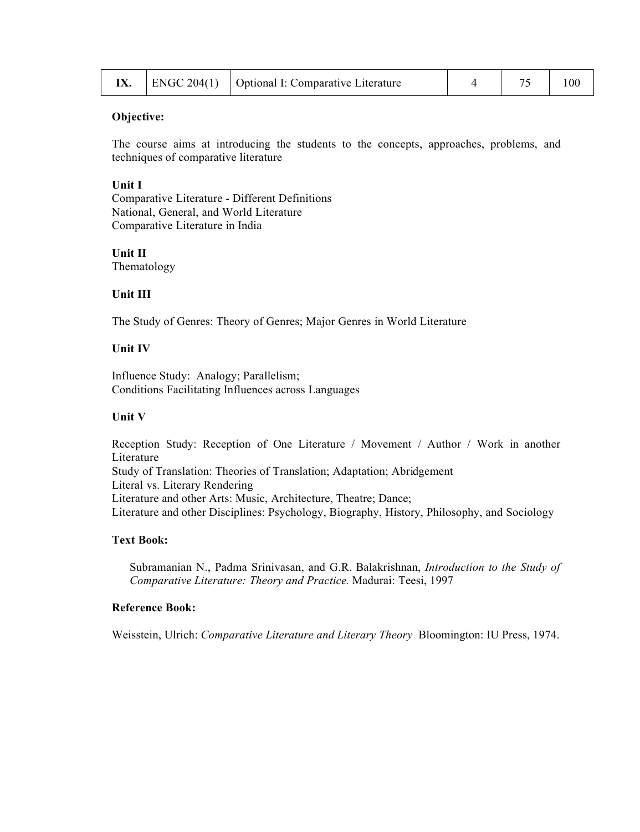|  |  | $\vert$ ENGC 204(1) $\vert$ Optional I: Comparative Literature |  |  | 100 |
|--|--|----------------------------------------------------------------|--|--|-----|
|--|--|----------------------------------------------------------------|--|--|-----|

The course aims at introducing the students to the concepts, approaches, problems, and techniques of comparative literature

#### **Unit I**

Comparative Literature - Different Definitions National, General, and World Literature Comparative Literature in India

**Unit II** Thematology

#### **Unit III**

The Study of Genres: Theory of Genres; Major Genres in World Literature

#### **Unit IV**

Influence Study: Analogy; Parallelism; Conditions Facilitating Influences across Languages

#### **Unit V**

Reception Study: Reception of One Literature / Movement / Author / Work in another Literature Study of Translation: Theories of Translation; Adaptation; Abridgement Literal vs. Literary Rendering Literature and other Arts: Music, Architecture, Theatre; Dance; Literature and other Disciplines: Psychology, Biography, History, Philosophy, and Sociology

### **Text Book:**

Subramanian N., Padma Srinivasan, and G.R. Balakrishnan, *Introduction to the Study of Comparative Literature: Theory and Practice.* Madurai: Teesi, 1997

#### **Reference Book:**

Weisstein, Ulrich: *Comparative Literature and Literary Theory* Bloomington: IU Press, 1974.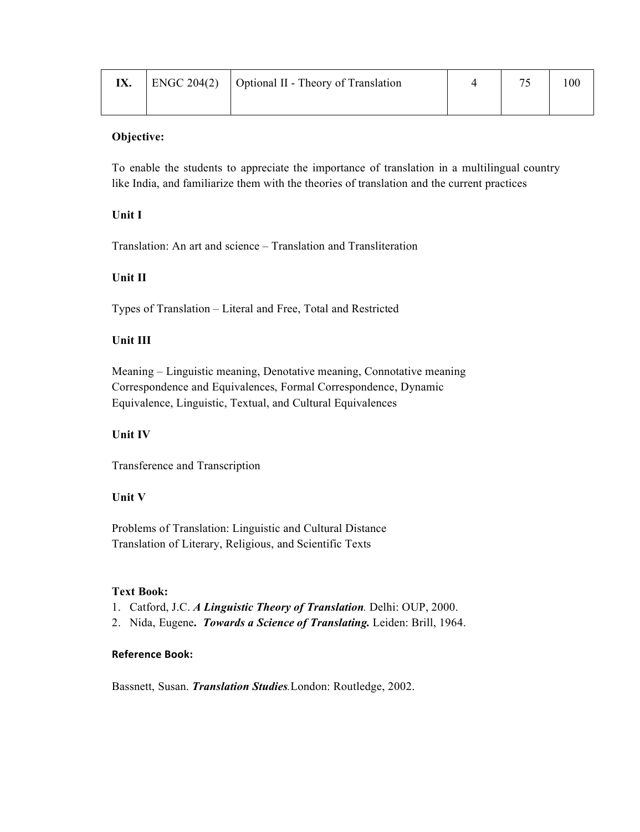|  | $\vert$ ENGC 204(2) $\vert$ Optional II - Theory of Translation |  | 100 |
|--|-----------------------------------------------------------------|--|-----|
|  |                                                                 |  |     |

To enable the students to appreciate the importance of translation in a multilingual country like India, and familiarize them with the theories of translation and the current practices

# **Unit I**

Translation: An art and science – Translation and Transliteration

# **Unit II**

Types of Translation – Literal and Free, Total and Restricted

# **Unit III**

Meaning – Linguistic meaning, Denotative meaning, Connotative meaning Correspondence and Equivalences, Formal Correspondence, Dynamic Equivalence, Linguistic, Textual, and Cultural Equivalences

# **Unit IV**

Transference and Transcription

### **Unit V**

Problems of Translation: Linguistic and Cultural Distance Translation of Literary, Religious, and Scientific Texts

### **Text Book:**

- 1. Catford, J.C. *A Linguistic Theory of Translation.* Delhi: OUP, 2000.
- 2. Nida, Eugene**.** *Towards a Science of Translating.* Leiden: Brill, 1964.

### **Reference Book:**

Bassnett, Susan. *Translation Studies.*London: Routledge, 2002.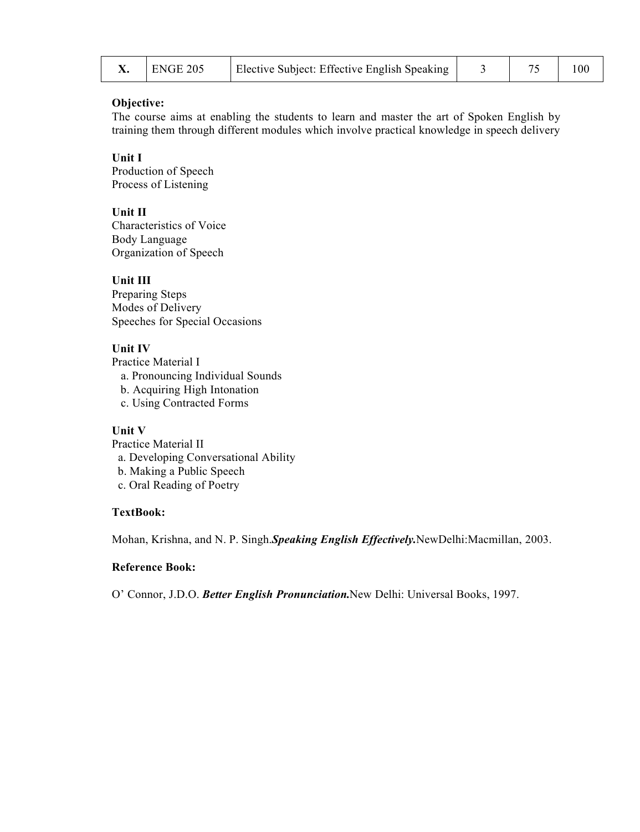| $ERGE$ 205 | Elective Subject: Effective English Speaking |  | 100 |
|------------|----------------------------------------------|--|-----|
|            |                                              |  |     |

The course aims at enabling the students to learn and master the art of Spoken English by training them through different modules which involve practical knowledge in speech delivery

**Unit I** Production of Speech Process of Listening

**Unit II**

Characteristics of Voice Body Language Organization of Speech

**Unit III**

Preparing Steps Modes of Delivery Speeches for Special Occasions

## **Unit IV**

Practice Material I a. Pronouncing Individual Sounds b. Acquiring High Intonation c. Using Contracted Forms

### **Unit V**

Practice Material II a. Developing Conversational Ability b. Making a Public Speech c. Oral Reading of Poetry

### **TextBook:**

Mohan, Krishna, and N. P. Singh.*Speaking English Effectively.*NewDelhi:Macmillan, 2003.

# **Reference Book:**

O' Connor, J.D.O. *Better English Pronunciation.*New Delhi: Universal Books, 1997.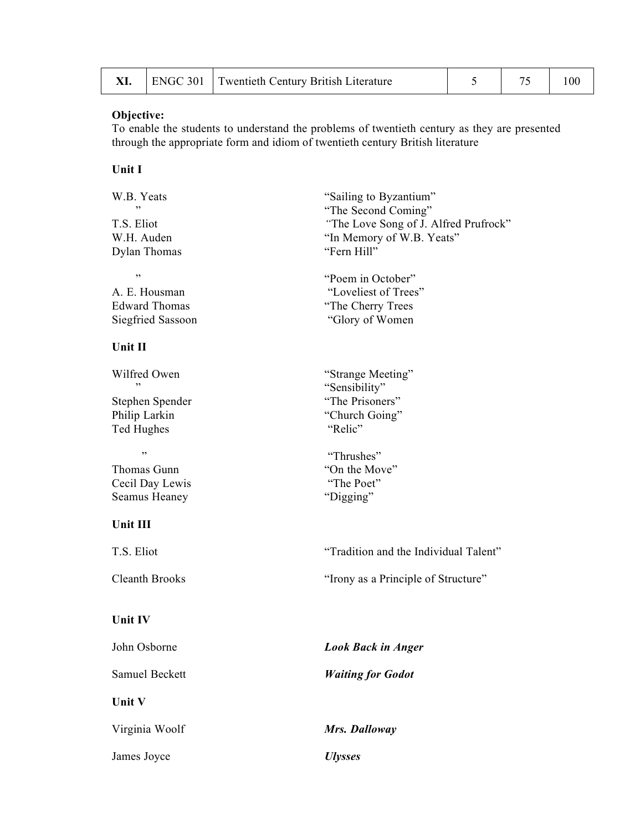|  | ENGC 301 Twentieth Century British Literature |  |  |
|--|-----------------------------------------------|--|--|
|  |                                               |  |  |

To enable the students to understand the problems of twentieth century as they are presented through the appropriate form and idiom of twentieth century British literature

# **Unit I**

| W.B. Yeats<br>,,         | "Sailing to Byzantium"<br>"The Second Coming" |
|--------------------------|-----------------------------------------------|
| T.S. Eliot               | "The Love Song of J. Alfred Prufrock"         |
| W.H. Auden               | "In Memory of W.B. Yeats"                     |
| Dylan Thomas             | "Fern Hill"                                   |
| ,,                       | "Poem in October"                             |
| A. E. Housman            | "Loveliest of Trees"                          |
| <b>Edward Thomas</b>     | "The Cherry Trees                             |
| <b>Siegfried Sassoon</b> | "Glory of Women"                              |
| Unit II                  |                                               |
| Wilfred Owen             | "Strange Meeting"                             |
|                          | "Sensibility"                                 |
| Stephen Spender          | "The Prisoners"                               |
| Philip Larkin            | "Church Going"                                |
| Ted Hughes               | "Relic"                                       |
| ,,                       | "Thrushes"                                    |
| Thomas Gunn              | "On the Move"                                 |
| Cecil Day Lewis          | "The Poet"                                    |
| Seamus Heaney            | "Digging"                                     |
| Unit III                 |                                               |
| T.S. Eliot               | "Tradition and the Individual Talent"         |
| <b>Cleanth Brooks</b>    | "Irony as a Principle of Structure"           |
| Unit IV                  |                                               |
| John Osborne             | <b>Look Back in Anger</b>                     |
| <b>Samuel Beckett</b>    | <b>Waiting for Godot</b>                      |
| Unit V                   |                                               |
| Virginia Woolf           | Mrs. Dalloway                                 |
| James Joyce              | <b>Ulysses</b>                                |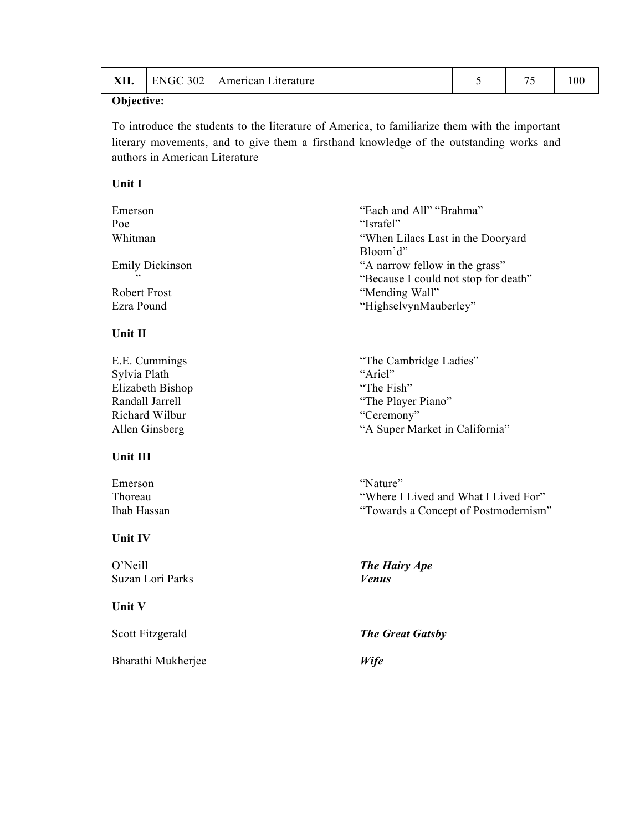| 302<br><b>VII</b><br>100<br><b>ENG</b><br>∟ıterature<br>merican)<br>7711. |
|---------------------------------------------------------------------------|
|---------------------------------------------------------------------------|

To introduce the students to the literature of America, to familiarize them with the important literary movements, and to give them a firsthand knowledge of the outstanding works and authors in American Literature

## **Unit I**

| Emerson                | "Each and All" "Brahma"              |  |
|------------------------|--------------------------------------|--|
| "Israfel"<br>Poe       |                                      |  |
| Whitman                | "When Lilacs Last in the Dooryard"   |  |
|                        | Bloom'd"                             |  |
| <b>Emily Dickinson</b> | "A narrow fellow in the grass"       |  |
| ,,                     | "Because I could not stop for death" |  |
| Robert Frost           | "Mending Wall"                       |  |
| Ezra Pound             | "HighselvynMauberley"                |  |

# **Unit II**

| E.E. Cummings    | "The Cambridge Ladies"         |
|------------------|--------------------------------|
| Sylvia Plath     | "Ariel"                        |
| Elizabeth Bishop | "The Fish"                     |
| Randall Jarrell  | "The Player Piano"             |
| Richard Wilbur   | "Ceremony"                     |
| Allen Ginsberg   | "A Super Market in California" |
|                  |                                |

# **Unit III**

| Emerson            |  |
|--------------------|--|
| Thoreau            |  |
| <b>Ihab Hassan</b> |  |

### **Unit IV**

O'Neill *The Hairy Ape* Suzan Lori Parks *Venus*

# **Unit V**

Bharathi Mukherjee *Wife*

"Towards a Concept of Postmodernism"

"Where I Lived and What I Lived For"

"Nature"

Scott Fitzgerald *The Great Gatsby*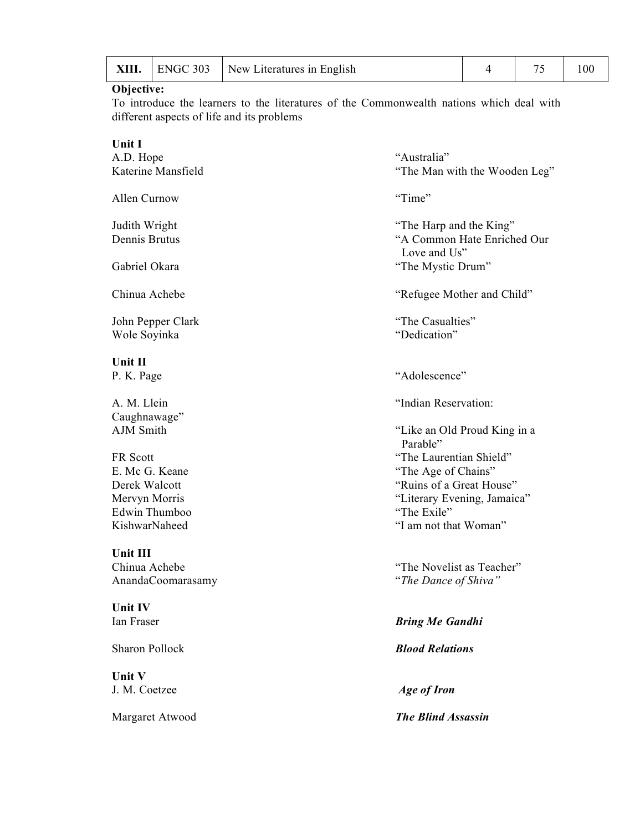| XIII. |  | ENGC 303   New Literatures in English |  |  | 0 <sup>0</sup> |
|-------|--|---------------------------------------|--|--|----------------|
|-------|--|---------------------------------------|--|--|----------------|

To introduce the learners to the literatures of the Commonwealth nations which deal with different aspects of life and its problems

| Unit I                |                                             |
|-----------------------|---------------------------------------------|
| A.D. Hope             | "Australia"                                 |
| Katerine Mansfield    | "The Man with the Wooden Leg"               |
| Allen Curnow          | "Time"                                      |
| Judith Wright         | "The Harp and the King"                     |
| Dennis Brutus         | "A Common Hate Enriched Our<br>Love and Us" |
| Gabriel Okara         | "The Mystic Drum"                           |
| Chinua Achebe         | "Refugee Mother and Child"                  |
| John Pepper Clark     | "The Casualties"                            |
| Wole Soyinka          | "Dedication"                                |
| Unit II               |                                             |
| P. K. Page            | "Adolescence"                               |
| A. M. Llein           | "Indian Reservation:                        |
| Caughnawage"          |                                             |
| AJM Smith             | "Like an Old Proud King in a<br>Parable"    |
| FR Scott              | "The Laurentian Shield"                     |
| E. Mc G. Keane        | "The Age of Chains"                         |
| Derek Walcott         | "Ruins of a Great House"                    |
| Mervyn Morris         | "Literary Evening, Jamaica"                 |
| Edwin Thumboo         | "The Exile"                                 |
| KishwarNaheed         | "I am not that Woman"                       |
| Unit III              |                                             |
| Chinua Achebe         | "The Novelist as Teacher"                   |
| AnandaCoomarasamy     | "The Dance of Shiva"                        |
| Unit IV               |                                             |
| Ian Fraser            | <b>Bring Me Gandhi</b>                      |
| <b>Sharon Pollock</b> | <b>Blood Relations</b>                      |
| Unit V                |                                             |
| J. M. Coetzee         | <b>Age of Iron</b>                          |
| Margaret Atwood       | <b>The Blind Assassin</b>                   |
|                       |                                             |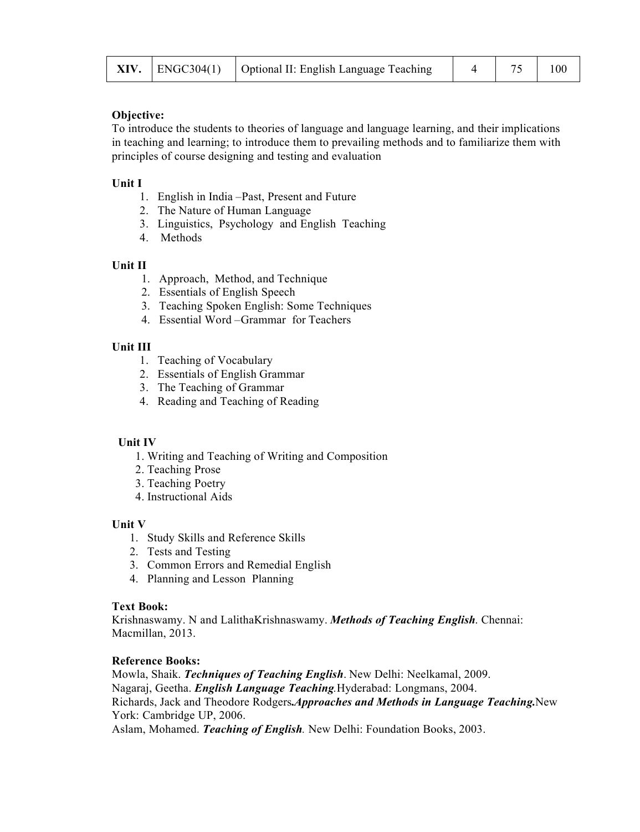|  |  | <b>XIV.</b> $ $ ENGC304(1) $ $ Optional II: English Language Teaching |  | 4   75 | 100 |
|--|--|-----------------------------------------------------------------------|--|--------|-----|
|--|--|-----------------------------------------------------------------------|--|--------|-----|

To introduce the students to theories of language and language learning, and their implications in teaching and learning; to introduce them to prevailing methods and to familiarize them with principles of course designing and testing and evaluation

### **Unit I**

- 1. English in India –Past, Present and Future
- 2. The Nature of Human Language
- 3. Linguistics, Psychology and English Teaching
- 4. Methods

### **Unit II**

- 1. Approach, Method, and Technique
- 2. Essentials of English Speech
- 3. Teaching Spoken English: Some Techniques
- 4. Essential Word –Grammar for Teachers

## **Unit III**

- 1. Teaching of Vocabulary
- 2. Essentials of English Grammar
- 3. The Teaching of Grammar
- 4. Reading and Teaching of Reading

### **Unit IV**

- 1. Writing and Teaching of Writing and Composition
- 2. Teaching Prose
- 3. Teaching Poetry
- 4. Instructional Aids

### **Unit V**

- 1. Study Skills and Reference Skills
- 2. Tests and Testing
- 3. Common Errors and Remedial English
- 4. Planning and Lesson Planning

### **Text Book:**

Krishnaswamy. N and LalithaKrishnaswamy. *Methods of Teaching English*. Chennai: Macmillan, 2013.

### **Reference Books:**

Mowla, Shaik. *Techniques of Teaching English*. New Delhi: Neelkamal, 2009. Nagaraj, Geetha. *English Language Teaching.*Hyderabad: Longmans, 2004. Richards, Jack and Theodore Rodgers**.***Approaches and Methods in Language Teaching.*New York: Cambridge UP, 2006. Aslam, Mohamed. *Teaching of English.* New Delhi: Foundation Books, 2003.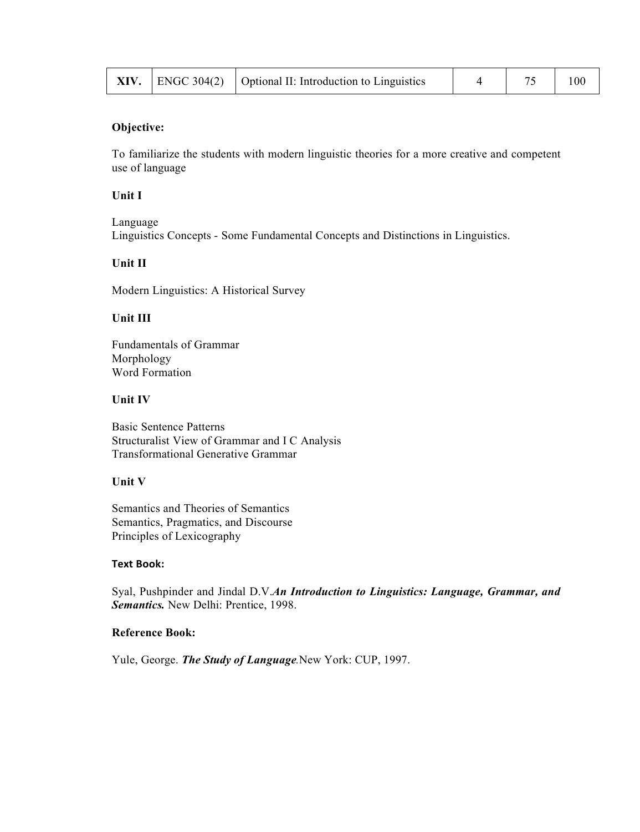|  |  | <b>XIV.</b> $\vert$ ENGC 304(2) $\vert$ Optional II: Introduction to Linguistics |  |  | 100 |
|--|--|----------------------------------------------------------------------------------|--|--|-----|
|--|--|----------------------------------------------------------------------------------|--|--|-----|

To familiarize the students with modern linguistic theories for a more creative and competent use of language

### **Unit I**

Language Linguistics Concepts - Some Fundamental Concepts and Distinctions in Linguistics.

## **Unit II**

Modern Linguistics: A Historical Survey

# **Unit III**

Fundamentals of Grammar Morphology Word Formation

### **Unit IV**

Basic Sentence Patterns Structuralist View of Grammar and I C Analysis Transformational Generative Grammar

# **Unit V**

Semantics and Theories of Semantics Semantics, Pragmatics, and Discourse Principles of Lexicography

#### **Text Book:**

Syal, Pushpinder and Jindal D.V.*An Introduction to Linguistics: Language, Grammar, and Semantics.* New Delhi: Prentice, 1998.

#### **Reference Book:**

Yule, George. *The Study of Language.*New York: CUP, 1997.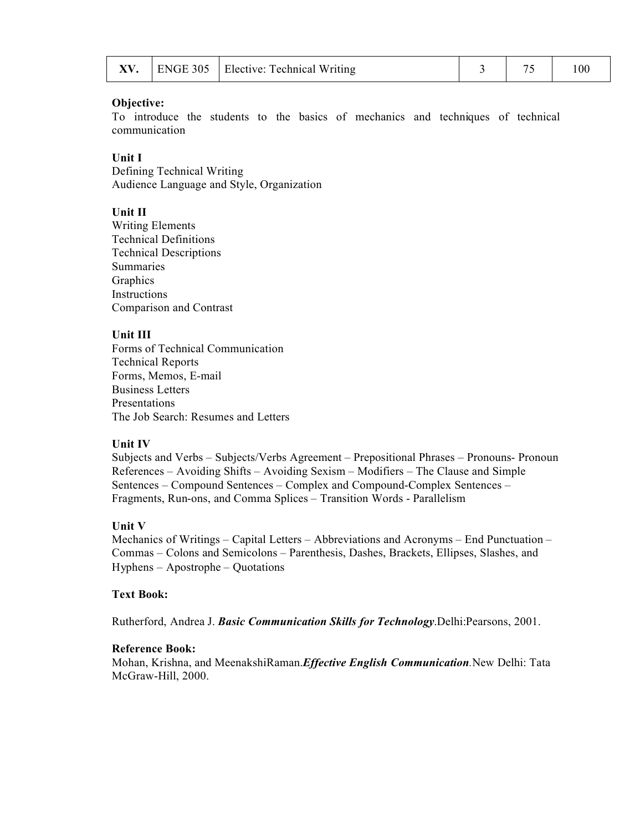|  |  | $\Box$ ENGE 305   Elective: Technical Writing |  |  | 100 |
|--|--|-----------------------------------------------|--|--|-----|
|--|--|-----------------------------------------------|--|--|-----|

To introduce the students to the basics of mechanics and techniques of technical communication

#### **Unit I**

Defining Technical Writing Audience Language and Style, Organization

### **Unit II**

Writing Elements Technical Definitions Technical Descriptions Summaries Graphics Instructions Comparison and Contrast

#### **Unit III**

Forms of Technical Communication Technical Reports Forms, Memos, E-mail Business Letters Presentations The Job Search: Resumes and Letters

#### **Unit IV**

Subjects and Verbs – Subjects/Verbs Agreement – Prepositional Phrases – Pronouns- Pronoun References – Avoiding Shifts – Avoiding Sexism – Modifiers – The Clause and Simple Sentences – Compound Sentences – Complex and Compound-Complex Sentences – Fragments, Run-ons, and Comma Splices – Transition Words - Parallelism

#### **Unit V**

Mechanics of Writings – Capital Letters – Abbreviations and Acronyms – End Punctuation – Commas – Colons and Semicolons – Parenthesis, Dashes, Brackets, Ellipses, Slashes, and Hyphens – Apostrophe – Quotations

#### **Text Book:**

Rutherford, Andrea J. *Basic Communication Skills for Technology*.Delhi:Pearsons, 2001.

#### **Reference Book:**

Mohan, Krishna, and MeenakshiRaman.*Effective English Communication.*New Delhi: Tata McGraw-Hill, 2000.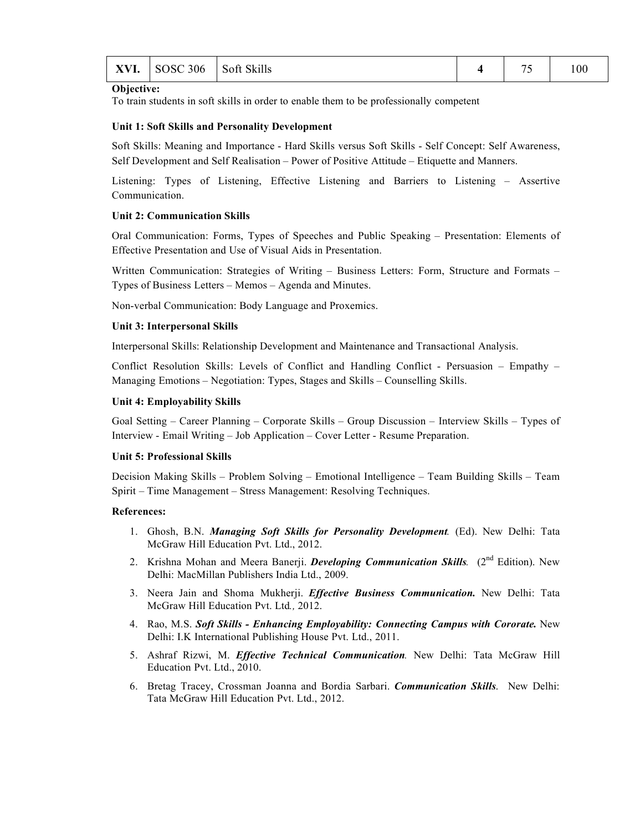| <b>YVI</b><br>AV 1. | <b>SOSC 306</b> | Soft Skills |  | $ -$ | 100 |
|---------------------|-----------------|-------------|--|------|-----|
|---------------------|-----------------|-------------|--|------|-----|

To train students in soft skills in order to enable them to be professionally competent

#### **Unit 1: Soft Skills and Personality Development**

Soft Skills: Meaning and Importance - Hard Skills versus Soft Skills - Self Concept: Self Awareness, Self Development and Self Realisation – Power of Positive Attitude – Etiquette and Manners.

Listening: Types of Listening, Effective Listening and Barriers to Listening – Assertive Communication.

#### **Unit 2: Communication Skills**

Oral Communication: Forms, Types of Speeches and Public Speaking – Presentation: Elements of Effective Presentation and Use of Visual Aids in Presentation.

Written Communication: Strategies of Writing – Business Letters: Form, Structure and Formats – Types of Business Letters – Memos – Agenda and Minutes.

Non-verbal Communication: Body Language and Proxemics.

#### **Unit 3: Interpersonal Skills**

Interpersonal Skills: Relationship Development and Maintenance and Transactional Analysis.

Conflict Resolution Skills: Levels of Conflict and Handling Conflict - Persuasion – Empathy – Managing Emotions – Negotiation: Types, Stages and Skills – Counselling Skills.

#### **Unit 4: Employability Skills**

Goal Setting – Career Planning – Corporate Skills – Group Discussion – Interview Skills – Types of Interview - Email Writing – Job Application – Cover Letter - Resume Preparation.

#### **Unit 5: Professional Skills**

Decision Making Skills – Problem Solving – Emotional Intelligence – Team Building Skills – Team Spirit – Time Management – Stress Management: Resolving Techniques.

#### **References:**

- 1. Ghosh, B.N. *Managing Soft Skills for Personality Development.* (Ed). New Delhi: Tata McGraw Hill Education Pvt. Ltd., 2012.
- 2. Krishna Mohan and Meera Banerji. *Developing Communication Skills.* (2<sup>nd</sup> Edition). New Delhi: MacMillan Publishers India Ltd., 2009.
- 3. Neera Jain and Shoma Mukherji. *Effective Business Communication.* New Delhi: Tata McGraw Hill Education Pvt. Ltd*.,* 2012.
- 4. Rao, M.S. *Soft Skills - Enhancing Employability: Connecting Campus with Cororate***.** New Delhi: I.K International Publishing House Pvt. Ltd., 2011.
- 5. Ashraf Rizwi, M. *Effective Technical Communication.* New Delhi: Tata McGraw Hill Education Pvt. Ltd., 2010.
- 6. Bretag Tracey, Crossman Joanna and Bordia Sarbari. *Communication Skills*. New Delhi: Tata McGraw Hill Education Pvt. Ltd., 2012.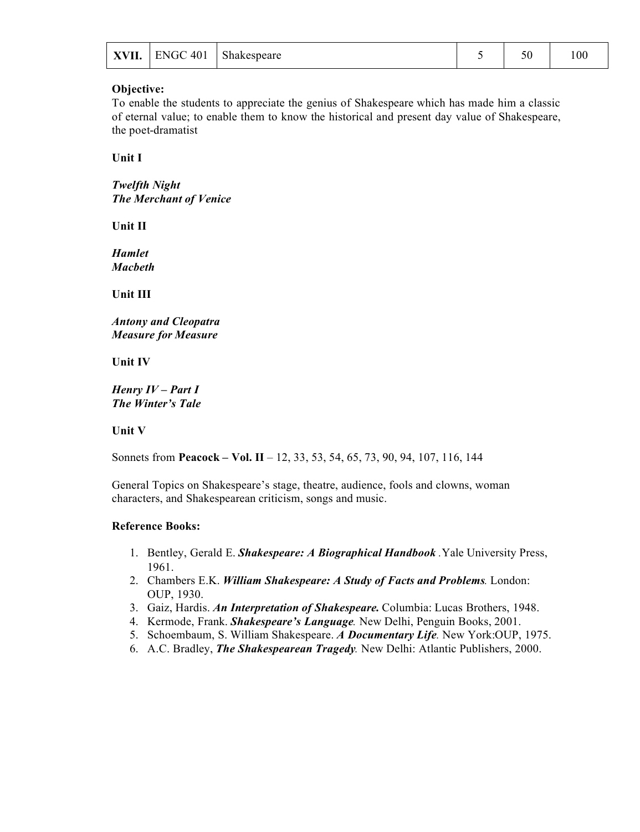|  | $\vert$ XVII.   ENGC 401   Shakespeare | ۲0 | 00 |
|--|----------------------------------------|----|----|
|  |                                        |    |    |

To enable the students to appreciate the genius of Shakespeare which has made him a classic of eternal value; to enable them to know the historical and present day value of Shakespeare, the poet-dramatist

**Unit I**

*Twelfth Night The Merchant of Venice*

**Unit II**

*Hamlet Macbeth*

**Unit III**

*Antony and Cleopatra Measure for Measure*

**Unit IV**

*Henry IV – Part I The Winter's Tale*

**Unit V**

Sonnets from **Peacock – Vol. II** – 12, 33, 53, 54, 65, 73, 90, 94, 107, 116, 144

General Topics on Shakespeare's stage, theatre, audience, fools and clowns, woman characters, and Shakespearean criticism, songs and music.

#### **Reference Books:**

- 1. Bentley, Gerald E. *Shakespeare: A Biographical Handbook .*Yale University Press, 1961.
- 2. Chambers E.K. *William Shakespeare: A Study of Facts and Problems.* London: OUP, 1930.
- 3. Gaiz, Hardis. *An Interpretation of Shakespeare.* Columbia: Lucas Brothers, 1948.
- 4. Kermode, Frank. *Shakespeare's Language.* New Delhi, Penguin Books, 2001.
- 5. Schoembaum, S. William Shakespeare. *A Documentary Life.* New York:OUP, 1975.
- 6. A.C. Bradley, *The Shakespearean Tragedy.* New Delhi: Atlantic Publishers, 2000.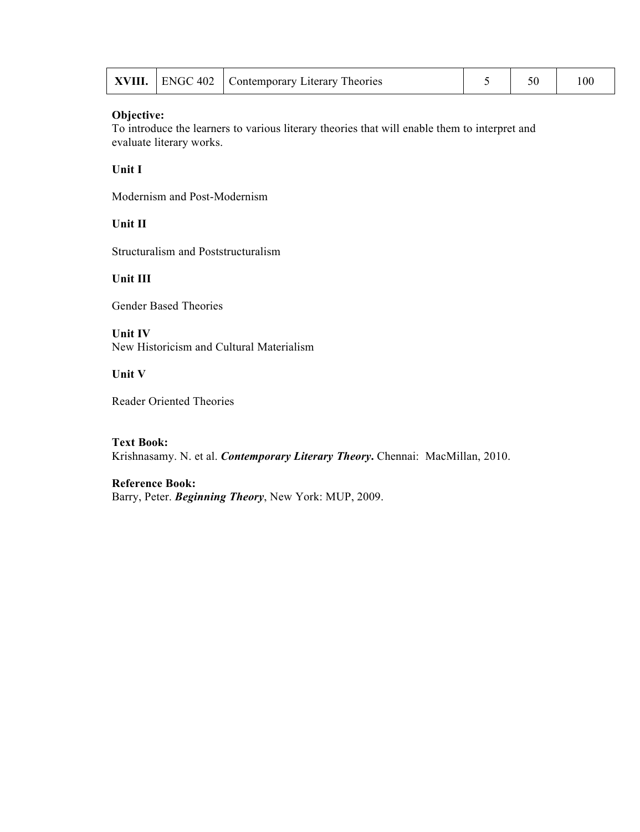|  |  | <b>XVIII.</b>   ENGC 402   Contemporary Literary Theories |  |  | 100 |
|--|--|-----------------------------------------------------------|--|--|-----|
|--|--|-----------------------------------------------------------|--|--|-----|

To introduce the learners to various literary theories that will enable them to interpret and evaluate literary works.

## **Unit I**

Modernism and Post-Modernism

# **Unit II**

Structuralism and Poststructuralism

## **Unit III**

Gender Based Theories

**Unit IV** New Historicism and Cultural Materialism

#### **Unit V**

Reader Oriented Theories

#### **Text Book:**

Krishnasamy. N. et al. *Contemporary Literary Theory***.** Chennai: MacMillan, 2010.

#### **Reference Book:**

Barry, Peter. *Beginning Theory*, New York: MUP, 2009.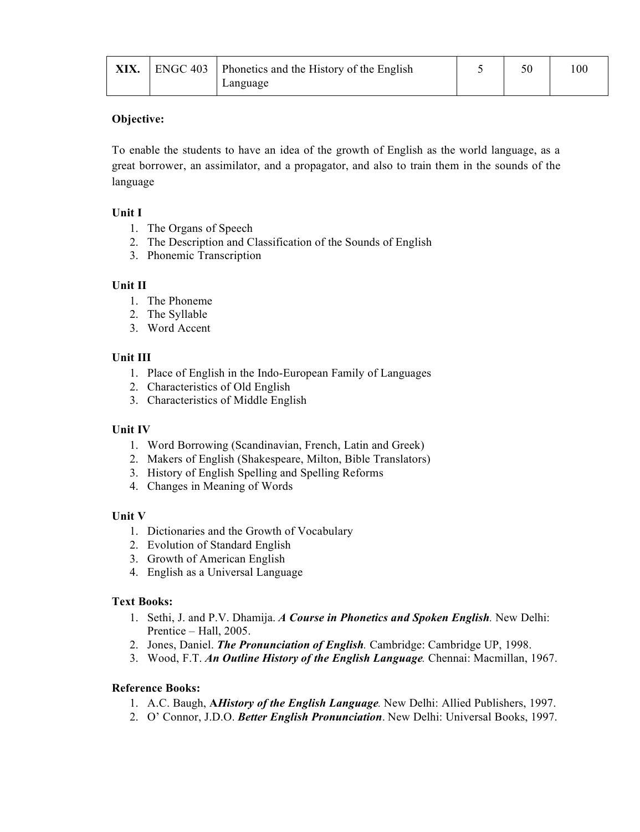| XIX. | ENGC 403   Phonetics and the History of the English |  | !00 |
|------|-----------------------------------------------------|--|-----|
|      | Language                                            |  |     |

To enable the students to have an idea of the growth of English as the world language, as a great borrower, an assimilator, and a propagator, and also to train them in the sounds of the language

### **Unit I**

- 1. The Organs of Speech
- 2. The Description and Classification of the Sounds of English
- 3. Phonemic Transcription

## **Unit II**

- 1. The Phoneme
- 2. The Syllable
- 3. Word Accent

## **Unit III**

- 1. Place of English in the Indo-European Family of Languages
- 2. Characteristics of Old English
- 3. Characteristics of Middle English

# **Unit IV**

- 1. Word Borrowing (Scandinavian, French, Latin and Greek)
- 2. Makers of English (Shakespeare, Milton, Bible Translators)
- 3. History of English Spelling and Spelling Reforms
- 4. Changes in Meaning of Words

### **Unit V**

- 1. Dictionaries and the Growth of Vocabulary
- 2. Evolution of Standard English
- 3. Growth of American English
- 4. English as a Universal Language

### **Text Books:**

- 1. Sethi, J. and P.V. Dhamija. *A Course in Phonetics and Spoken English.* New Delhi: Prentice – Hall, 2005.
- 2. Jones, Daniel. *The Pronunciation of English.* Cambridge: Cambridge UP, 1998.
- 3. Wood, F.T. *An Outline History of the English Language.* Chennai: Macmillan, 1967.

### **Reference Books:**

- 1. A.C. Baugh, **A***History of the English Language.* New Delhi: Allied Publishers, 1997.
- 2. O' Connor, J.D.O. *Better English Pronunciation*. New Delhi: Universal Books, 1997.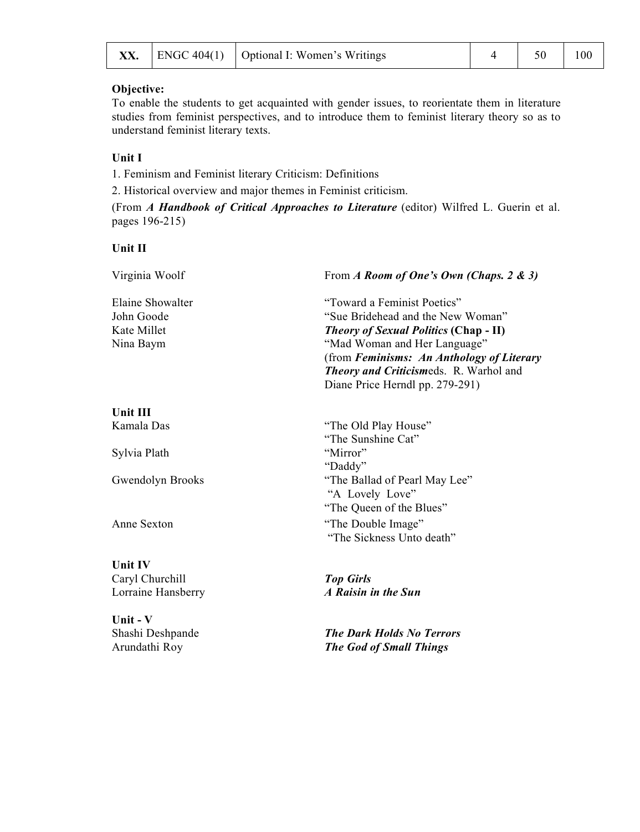|  |  | <b>XX.</b>   ENGC 404(1)   Optional I: Women's Writings |  | 4 50 1 | 100 |
|--|--|---------------------------------------------------------|--|--------|-----|
|--|--|---------------------------------------------------------|--|--------|-----|

To enable the students to get acquainted with gender issues, to reorientate them in literature studies from feminist perspectives, and to introduce them to feminist literary theory so as to understand feminist literary texts.

### **Unit I**

1. Feminism and Feminist literary Criticism: Definitions

2. Historical overview and major themes in Feminist criticism.

(From *A Handbook of Critical Approaches to Literature* (editor) Wilfred L. Guerin et al. pages 196-215)

#### **Unit II**

| Virginia Woolf   | From A Room of One's Own (Chaps. 2 & 3)         |  |  |
|------------------|-------------------------------------------------|--|--|
| Elaine Showalter | "Toward a Feminist Poetics"                     |  |  |
| John Goode       | "Sue Bridehead and the New Woman"               |  |  |
| Kate Millet      | <b>Theory of Sexual Politics (Chap - II)</b>    |  |  |
| Nina Baym        | "Mad Woman and Her Language"                    |  |  |
|                  | (from Feminisms: An Anthology of Literary       |  |  |
|                  | <b>Theory and Criticismeds. R. Warhol and</b>   |  |  |
|                  | Diane Price Herndl pp. 279-291)                 |  |  |
| <b>Unit III</b>  |                                                 |  |  |
| Kamala Das       | "The Old Play House"                            |  |  |
|                  | "The Sunshine Cat"                              |  |  |
| Sylvia Plath     | "Mirror"                                        |  |  |
|                  | "Daddy"                                         |  |  |
| Gwendolyn Brooks | "The Ballad of Pearl May Lee"                   |  |  |
|                  | "A Lovely Love"                                 |  |  |
|                  | "The Queen of the Blues"                        |  |  |
| Anne Sexton      | "The Double Image"<br>"The Sickness Unto death" |  |  |
|                  |                                                 |  |  |

**Unit IV**  Caryl Churchill *Top Girls* Lorraine Hansberry

**Unit - V**  Arundathi Roy *The God of Small Things*

**The Dark Holds No Terrors**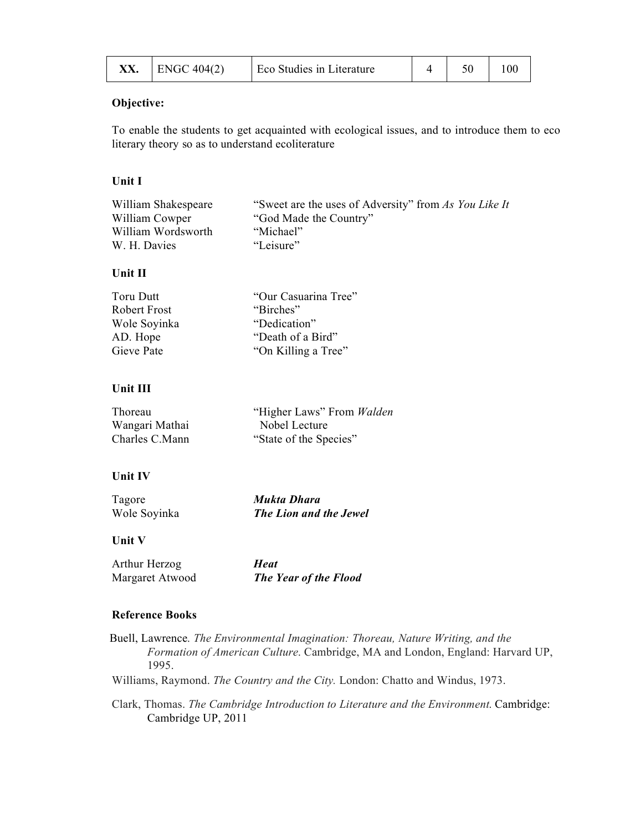| XX. | $ $ ENGC 404(2) | Eco Studies in Literature |  |  |  |
|-----|-----------------|---------------------------|--|--|--|
|-----|-----------------|---------------------------|--|--|--|

To enable the students to get acquainted with ecological issues, and to introduce them to eco literary theory so as to understand ecoliterature

### **Unit I**

| William Shakespeare | "Sweet are the uses of Adversity" from As You Like It |
|---------------------|-------------------------------------------------------|
| William Cowper      | "God Made the Country"                                |
| William Wordsworth  | "Michael"                                             |
| W. H. Davies        | "Leisure"                                             |

### **Unit II**

| Toru Dutt    | "Our Casuarina Tree" |
|--------------|----------------------|
| Robert Frost | "Birches"            |
| Wole Soyinka | "Dedication"         |
| AD. Hope     | "Death of a Bird"    |
| Gieve Pate   | "On Killing a Tree"  |
|              |                      |

### **Unit III**

| Thoreau        | "Higher Laws" From Walden |
|----------------|---------------------------|
| Wangari Mathai | Nobel Lecture             |
| Charles C.Mann | "State of the Species"    |

### **Unit IV**

| Tagore       | Mukta Dhara                   |
|--------------|-------------------------------|
| Wole Soyinka | <b>The Lion and the Jewel</b> |

### **Unit V**

| Arthur Herzog   | <b>Heat</b>           |
|-----------------|-----------------------|
| Margaret Atwood | The Year of the Flood |

#### **Reference Books**

Buell, Lawrence. *The Environmental Imagination: Thoreau, Nature Writing, and the Formation of American Culture*. Cambridge, MA and London, England: Harvard UP, 1995.

Williams, Raymond. *The Country and the City.* London: Chatto and Windus, 1973.

Clark, Thomas. *The Cambridge Introduction to Literature and the Environment*. Cambridge: Cambridge UP, 2011